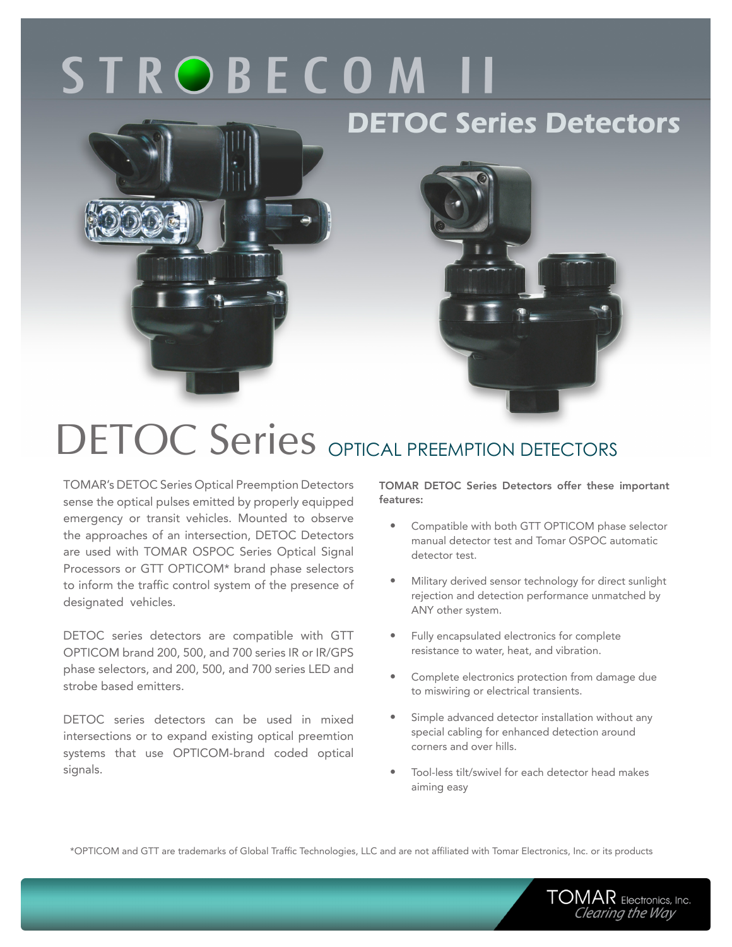# **STROBECOM II**

### **DETOC Series Detectors**





## DETOC Series OPTICAL PREEMPTION DETECTORS

TOMAR's DETOC Series Optical Preemption Detectors sense the optical pulses emitted by properly equipped emergency or transit vehicles. Mounted to observe the approaches of an intersection, DETOC Detectors are used with TOMAR OSPOC Series Optical Signal Processors or GTT OPTICOM\* brand phase selectors to inform the traffic control system of the presence of designated vehicles.

DETOC series detectors are compatible with GTT OPTICOM brand 200, 500, and 700 series IR or IR/GPS phase selectors, and 200, 500, and 700 series LED and strobe based emitters.

DETOC series detectors can be used in mixed intersections or to expand existing optical preemtion systems that use OPTICOM-brand coded optical signals.

TOMAR DETOC Series Detectors offer these important features:

- • Compatible with both GTT OPTICOM phase selector manual detector test and Tomar OSPOC automatic detector test.
- Military derived sensor technology for direct sunlight rejection and detection performance unmatched by ANY other system.
- Fully encapsulated electronics for complete resistance to water, heat, and vibration.
- Complete electronics protection from damage due to miswiring or electrical transients.
- Simple advanced detector installation without any special cabling for enhanced detection around corners and over hills.
- Tool-less tilt/swivel for each detector head makes aiming easy

\*OPTICOM and GTT are trademarks of Global Traffic Technologies, LLC and are not affiliated with Tomar Electronics, Inc. or its products